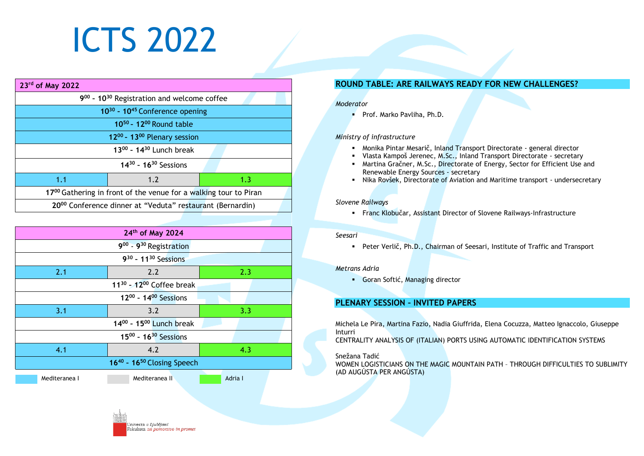# ICTS 2022

| 23rd of May 2022                                                             |     |     |  |
|------------------------------------------------------------------------------|-----|-----|--|
| 900 - 10 <sup>30</sup> Registration and welcome coffee                       |     |     |  |
| 10 <sup>30</sup> - 10 <sup>45</sup> Conference opening                       |     |     |  |
| 10 <sup>50</sup> - 12 <sup>00</sup> Round table                              |     |     |  |
| 12 <sup>00</sup> - 13 <sup>00</sup> Plenary session                          |     |     |  |
| $13^{00}$ - $14^{30}$ Lunch break                                            |     |     |  |
| $14^{30} - 16^{30}$ Sessions                                                 |     |     |  |
| 1.1                                                                          | 1.2 | 1.3 |  |
| 17 <sup>00</sup> Gathering in front of the venue for a walking tour to Piran |     |     |  |
| 2000 Conference dinner at "Veduta" restaurant (Bernardin)                    |     |     |  |

| 24th of May 2024                                   |                         |         |  |
|----------------------------------------------------|-------------------------|---------|--|
| 9 <sup>00</sup> - 9 <sup>30</sup> Registration     |                         |         |  |
| $9^{30}$ - 11 <sup>30</sup> Sessions               |                         |         |  |
| 2.1                                                | 2.2                     | 2.3     |  |
| $11^{30}$ - $12^{00}$ Coffee break                 |                         |         |  |
| $12^{00} - 14^{00}$ Sessions                       |                         |         |  |
| 3.1                                                | 3.2                     | 3.3     |  |
|                                                    | 1400 - 1500 Lunch break |         |  |
| $15^{00} - 16^{30}$ Sessions                       |                         |         |  |
| 4.1                                                | 4.2                     | 4.3     |  |
| 16 <sup>40</sup> - 16 <sup>50</sup> Closing Speech |                         |         |  |
| Mediteranea I                                      | Mediteranea II          | Adria I |  |

# **ROUND TABLE: ARE RAILWAYS READY FOR NEW CHALLENGES?**

#### *Moderator*

**·** Prof. Marko Pavliha, Ph.D.

#### *Ministry of infrastructure*

- **■** Monika Pintar Mesarič, Inland Transport Directorate general director
- Vlasta Kampoš Jerenec, M.Sc., Inland Transport Directorate secretary
- **EXECT** Martina Gračner, M.Sc., Directorate of Energy, Sector for Efficient Use and Renewable Energy Sources - secretary
- **EXECT** Nika Rovšek, Directorate of Aviation and Maritime transport undersecretary

## *Slovene Railways*

▪ Franc Klobučar, Assistant Director of Slovene Railways-Infrastructure

#### *Seesari*

▪ Peter Verlič, Ph.D., Chairman of Seesari, Institute of Traffic and Transport

#### *Metrans Adria*

▪ Goran Softić, Managing director

## **PLENARY SESSION – INVITED PAPERS**

Michela Le Pira, Martina Fazio, Nadia Giuffrida, Elena Cocuzza, Matteo Ignaccolo, Giuseppe Inturri

CENTRALITY ANALYSIS OF (ITALIAN) PORTS USING AUTOMATIC IDENTIFICATION SYSTEMS

Snežana Tadić

WOMEN LOGISTICIANS ON THE MAGIC MOUNTAIN PATH – THROUGH DIFFICULTIES TO SUBLIMITY (AD AUGÚSTA PER ANGÚSTA)

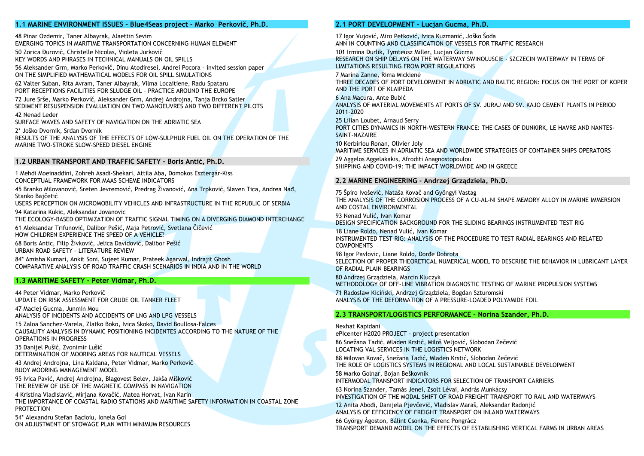#### **1.1 MARINE ENVIRONMENT ISSUES – Blue4Seas project - Marko Perkovič, Ph.D. .**

48 Pinar Ozdemir, Taner Albayrak, Alaettin Sevim EMERGING TOPICS IN MARITIME TRANSPORTATION CONCERNING HUMAN ELEMENT 50 Zorica Đurović, Christelle Nicolas, Violeta Jurkovič

KEY WORDS AND PHRASES IN TECHNICAL MANUALS ON OIL SPILLS

56 Aleksander Grm, Marko Perkovič, Dinu Atodiresei, Andrei Pocora – invited session paper ON THE SIMPLIFIED MATHEMATICAL MODELS FOR OIL SPILL SIMULATIONS

62 Valter Suban, Rita Avram, Taner Albayrak, Vilma Locaitiene, Radu Spataru PORT RECEPTIONS FACILITIES FOR SLUDGE OIL – PRACTICE AROUND THE EUROPE

72 Jure Srše, Marko Perkovič, Aleksander Grm, Andrej Androjna, Tanja Brcko Satler SEDIMENT RESUSPENSION EVALUATION ON TWO MANOEUVRES AND TWO DIFFERENT PILOTS

42 Nenad Leder

SURFACE WAVES AND SAFETY OF NAVIGATION ON THE ADRIATIC SEA

2\* Joško Dvornik, Srđan Dvornik

RESULTS OF THE ANALYSIS OF THE EFFECTS OF LOW-SULPHUR FUEL OIL ON THE OPERATION OF THE MARINE TWO-STROKE SLOW-SPEED DIESEL ENGINE

#### **1.2 URBAN TRANSPORT AND TRAFFIC SAFETY - Boris Antić, Ph.D.**

1 Mehdi Moeinaddini, Zohreh Asadi-Shekari, Attila Aba, Domokos Esztergár-Kiss CONCEPTUAL FRAMEWORK FOR MAAS SCHEME INDICATORS

45 Branko Milovanović, Sreten Jevremović, Predrag Živanović, Ana Trpković, Slaven Tica, Andrea Nađ, Stanko Bajčetić

USERS PERCEPTION ON MICROMOBILITY VEHICLES AND INFRASTRUCTURE IN THE REPUBLIC OF SERBIA

94 Katarina Kukic, Aleksandar Jovanovic THE ECOLOGY-BASED OPTIMIZATION OF TRAFFIC SIGNAL TIMING ON A DIVERGING DIAMOND INTERCHANGE

61 Aleksandar Trifunović, Dalibor Pešić, Maja Petrović, Svetlana Čičević HOW CHILDREN EXPERIENCE THE SPEED OF A VEHICLE?

68 Boris Antic, Filip Živković, Jelica Davidović, Dalibor Pešić URBAN ROAD SAFETY – LITERATURE REVIEW

84\* Amisha Kumari, Ankit Soni, Sujeet Kumar, Prateek Agarwal, Indrajit Ghosh COMPARATIVE ANALYSIS OF ROAD TRAFFIC CRASH SCENARIOS IN INDIA AND IN THE WORLD

#### **1.3 MARITIME SAFETY - Peter Vidmar, Ph.D.**

44 Peter Vidmar, Marko Perkovič UPDATE ON RISK ASSESSMENT FOR CRUDE OIL TANKER FLEET

47 Maciej Gucma, Junmin Mou

ANALYSIS OF INCIDENTS AND ACCIDENTS OF LNG AND LPG VESSELS

15 Zaloa Sanchez-Varela, Zlatko Boko, Ivica Skoko, David Boullosa-Falces CAUSALITY ANALYSIS IN DYNAMIC POSITIONING INCIDENTES ACCORDING TO THE NATURE OF THE OPERATIONS IN PROGRESS

35 Danijel Pušić, Zvonimir Lušić

DETERMINATION OF MOORING AREAS FOR NAUTICAL VESSELS

43 Andrej Androjna, Lina Kaldana, Peter Vidmar, Marko Perkovič BUOY MOORING MANAGEMENT MODEL

95 Ivica Pavić, Andrej Androjna, Blagovest Belev, Jakša Mišković THE REVIEW OF USE OF THE MAGNETIC COMPASS IN NAVIGATION

4 Kristina Vladislavić, Mirjana Kovačić, Matea Horvat, Ivan Karin THE IMPORTANCE OF COASTAL RADIO STATIONS AND MARITIME SAFETY INFORMATION IN COASTAL ZONE **PROTECTION** 

54\* Alexandru Stefan Bacioiu, Ionela Goi ON ADJUSTMENT OF STOWAGE PLAN WITH MINIMUM RESOURCES

#### **2.1 PORT DEVELOPMENT - Lucjan Gucma, Ph.D.**

17 Igor Vujović, Miro Petković, Ivica Kuzmanić, Joško Šoda ANN IN COUNTING AND CLASSIFICATION OF VESSELS FOR TRAFFIC RESEARCH 101 Irmina Durlik, Tymteusz Miller, Lucjan Gucma RESEARCH ON SHIP DELAYS ON THE WATERWAY SWINOUJSCIE - SZCZECIN WATERWAY IN TERMS OF LIMITATIONS RESULTING FROM PORT REGULATIONS

7 Marina Zanne, Rima Mickienė THREE DECADES OF PORT DEVELOPMENT IN ADRIATIC AND BALTIC REGION: FOCUS ON THE PORT OF KOPER AND THE PORT OF KLAIPEDA

6 Ana Macura, Ante Bubić ANALYSIS OF MATERIAL MOVEMENTS AT PORTS OF SV. JURAJ AND SV. KAJO CEMENT PLANTS IN PERIOD 2011-2020

25 Lilian Loubet, Arnaud Serry PORT CITIES DYNAMICS IN NORTH-WESTERN FRANCE: THE CASES OF DUNKIRK, LE HAVRE AND NANTES-SAINT-NAZAIRE

10 Kerbiriou Ronan, Olivier Joly MARITIME SERVICES IN ADRIATIC SEA AND WORLDWIDE STRATEGIES OF CONTAINER SHIPS OPERATORS

29 Aggelos Aggelakakis, Afroditi Anagnostopoulou SHIPPING AND COVID-19: THE IMPACT WORLDWIDE AND IN GREECE

#### **2.2 MARINE ENGINEERING - Andrzej Grządziela, Ph.D.**

75 Špiro Ivošević, Nataša Kovač and Gyöngyi Vastag THE ANALYSIS OF THE CORROSION PROCESS OF A CU-AL-NI SHAPE MEMORY ALLOY IN MARINE IMMERSION AND COSTAL ENVIRONMENTAL

93 Nenad Vulić, Ivan Komar DESIGN SPECIFICATION BACKGROUND FOR THE SLIDING BEARINGS INSTRUMENTED TEST RIG

18 Liane Roldo, Nenad Vulić, Ivan Komar INSTRUMENTED TEST RIG: ANALYSIS OF THE PROCEDURE TO TEST RADIAL BEARINGS AND RELATED **COMPONENTS** 

98 Igor Pavlovic, Liane Roldo, Đorđe Dobrota SELECTION OF PROPER THEORETICAL NUMERICAL MODEL TO DESCRIBE THE BEHAVIOR IN LUBRICANT LAYER OF RADIAL PLAIN BEARINGS

80 Andrzej Grządziela, Marcin Kluczyk METHODOLOGY OF OFF-LINE VIBRATION DIAGNOSTIC TESTING OF MARINE PROPULSION SYSTEMS

71 Radosław Kiciński, Andrzej Grządziela, Bogdan Szturomski ANALYSIS OF THE DEFORMATION OF A PRESSURE-LOADED POLYAMIDE FOIL

#### **2.3 TRANSPORT/LOGISTICS PERFORMANCE - Norina Szander, Ph.D.**

Nexhat Kapidani ePIcenter H2020 PROJECT – project presentation 86 Snežana Tadić, Mladen Krstić, Miloš Veljović, Slobodan Zečević LOCATING VAL SERVICES IN THE LOGISTICS NETWORK

88 Milovan Kovač, Snežana Tadić, Mladen Krstić, Slobodan Zečević THE ROLE OF LOGISTICS SYSTEMS IN REGIONAL AND LOCAL SUSTAINABLE DEVELOPMENT

58 Marko Golnar, Bojan Beškovnik INTERMODAL TRANSPORT INDICATORS FOR SELECTION OF TRANSPORT CARRIERS

63 Norina Szander, Tamás Jenei, Zsolt Lévai, András Munkácsy INVESTIGATION OF THE MODAL SHIFT OF ROAD FREIGHT TRANSPORT TO RAIL AND WATERWAYS

12 Anita Abođi, Danijela Pjevčević, Vladislav Maraš, Aleksandar Radonjić ANALYSIS OF EFFICIENCY OF FREIGHT TRANSPORT ON INLAND WATERWAYS

66 György Ágoston, Bálint Csonka, Ferenc Pongrácz TRANSPORT DEMAND MODEL ON THE EFFECTS OF ESTABLISHING VERTICAL FARMS IN URBAN AREAS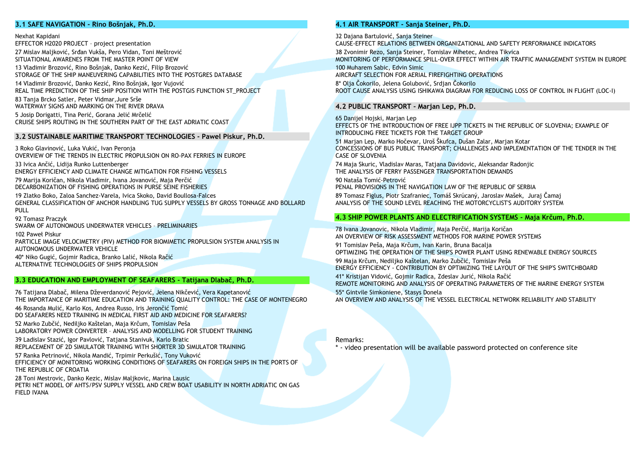#### **3.1 SAFE NAVIGATION - Rino Bošnjak, Ph.D. )**

Nexhat Kapidani

EFFECTOR H2020 PROJECT – project presentation 27 Mislav Maljković, Srđan Vukša, Pero Vidan, Toni Meštrović SITUATIONAL AWARENES FROM THE MASTER POINT OF VIEW

13 Vladimir Brozović, Rino Bošnjak, Danko Kezić, Filip Brozović STORAGE OF THE SHIP MANEUVERING CAPABILITIES INTO THE POSTGRES DATABASE

14 Vladimir Brozović, Danko Kezić, Rino Bošnjak, Igor Vujović REAL TIME PREDICTION OF THE SHIP POSITION WITH THE POSTGIS FUNCTION ST\_PROJECT

83 Tanja Brcko Satler, Peter Vidmar,Jure Srše WATERWAY SIGNS AND MARKING ON THE RIVER DRAVA

5 Josip Dorigatti, Tina Perić, Gorana Jelić Mrčelić CRUISE SHIPS ROUTING IN THE SOUTHERN PART OF THE EAST ADRIATIC COAST

#### **3.2 SUSTAINABLE MARITIME TRANSPORT TECHNOLOGIES - Pawel Piskur, Ph.D.**

3 Roko Glavinović, Luka Vukić, Ivan Peronja OVERVIEW OF THE TRENDS IN ELECTRIC PROPULSION ON RO-PAX FERRIES IN EUROPE

33 Ivica Ančić, Lidija Runko Luttenberger ENERGY EFFICIENCY AND CLIMATE CHANGE MITIGATION FOR FISHING VESSELS

79 Marija Koričan, Nikola Vladimir, Ivana Jovanović, Maja Perčić DECARBONIZATION OF FISHING OPERATIONS IN PURSE SEINE FISHERIES

19 Zlatko Boko, Zaloa Sanchez-Varela, Ivica Skoko, David Boullosa-Falces GENERAL CLASSIFICATION OF ANCHOR HANDLING TUG SUPPLY VESSELS BY GROSS TONNAGE AND BOLLARD PULL.

92 Tomasz Praczyk

SWARM OF AUTONOMOUS UNDERWATER VEHICLES – PRELIMINARIES

102 Paweł Piskur PARTICLE IMAGE VELOCIMETRY (PIV) METHOD FOR BIOMIMETIC PROPULSION SYSTEM ANALYSIS IN AUTONOMOUS UNDERWATER VEHICLE

40\* Niko Gugić, Gojmir Radica, Branko Lalić, Nikola Račić ALTERNATIVE TECHNOLOGIES OF SHIPS PROPULSION

#### **3.3 EDUCATION AND EMPLOYMENT OF SEAFARERS - Tatijana Dlabač, Ph.D.**

76 Tatijana Dlabač, Milena Dževerdanović Pejović, Jelena Nikčević, Vera Kapetanović THE IMPORTANCE OF MARITIME EDUCATION AND TRAINING QUALITY CONTROL: THE CASE OF MONTENEGRO

46 Rosanda Mulić, Karlo Kos, Andrea Russo, Iris Jerončić Tomić DO SEAFARERS NEED TRAINING IN MEDICAL FIRST AID AND MEDICINE FOR SEAFARERS?

52 Marko Zubčić, Nediljko Kaštelan, Maja Krčum, Tomislav Peša LABORATORY POWER CONVERTER – ANALYSIS AND MODELLING FOR STUDENT TRAINING

39 Ladislav Stazić, Igor Pavlović, Tatjana Stanivuk, Karlo Bratic REPLACEMENT OF 2D SIMULATOR TRAINING WITH SHORTER 3D SIMULATOR TRAINING

57 Ranka Petrinović, Nikola Mandić, Trpimir Perkušić, Tony Vuković EFFICIENCY OF MONITORING WORKING CONDITIONS OF SEAFARERS ON FOREIGN SHIPS IN THE PORTS OF THE REPUBLIC OF CROATIA

28 Toni Mestrovic, Danko Kezic, Mislav Maljkovic, Marina Lausic PETRI NET MODEL OF AHTS/PSV SUPPLY VESSEL AND CREW BOAT USABILITY IN NORTH ADRIATIC ON GAS FIELD IVANA

### **4.1 AIR TRANSPORT - Sanja Steiner, Ph.D. )**

32 Dajana Bartulović, Sanja Steiner

CAUSE-EFFECT RELATIONS BETWEEN ORGANIZATIONAL AND SAFETY PERFORMANCE INDICATORS 38 Zvonimir Rezo, Sanja Steiner, Tomislav Mihetec, Andrea Tikvica MONITORING OF PERFORMANCE SPILL-OVER EFFECT WITHIN AIR TRAFFIC MANAGEMENT SYSTEM IN EUROPE 100 Muharem Sabic, Edvin Simic AIRCRAFT SELECTION FOR AERIAL FIREFIGHTING OPERATIONS 8\* Olja Čokorilo, Jelena Golubović, Srdjan Čokorilo

ROOT CAUSE ANALYSIS USING ISHIKAWA DIAGRAM FOR REDUCING LOSS OF CONTROL IN FLIGHT (LOC-I)

#### **4.2 PUBLIC TRANSPORT - Marjan Lep, Ph.D.**

65 Danijel Hojski, Marjan Lep EFFECTS OF THE INTRODUCTION OF FREE IJPP TICKETS IN THE REPUBLIC OF SLOVENIA; EXAMPLE OF INTRODUCING FREE TICKETS FOR THE TARGET GROUP

51 Marjan Lep, Marko Hočevar, Uroš Škufca, Dušan Zalar, Marjan Kotar CONCESSIONS OF BUS PUBLIC TRANSPORT; CHALLENGES AND IMPLEMENTATION OF THE TENDER IN THE CASE OF SLOVENIA

74 Maja Skuric, Vladislav Maras, Tatjana Davidovic, Aleksandar Radonjic THE ANALYSIS OF FERRY PASSENGER TRANSPORTATION DEMANDS

90 Nataša Tomić-Petrović PENAL PROVISIONS IN THE NAVIGATION LAW OF THE REPUBLIC OF SERBIA

89 Tomasz Figlus, Piotr Szafraniec, Tomáš Skrúcaný, Jaroslav Mašek, Juraj Čamaj ANALYSIS OF THE SOUND LEVEL REACHING THE MOTORCYCLIST'S AUDITORY SYSTEM

#### **4.3 SHIP POWER PLANTS AND ELECTRIFICATION SYSTEMS - Maja Krčum, Ph.D.**

78 Ivana Jovanovic, Nikola Vladimir, Maja Perčić, Marija Koričan AN OVERVIEW OF RISK ASSESSMENT METHODS FOR MARINE POWER SYSTEMS

91 Tomislav Peša, Maja Krčum, Ivan Karin, Bruna Bacalja OPTIMIZING THE OPERATION OF THE SHIP'S POWER PLANT USING RENEWABLE ENERGY SOURCES

99 Maja Krčum, Nediljko Kaštelan, Marko Zubčić, Tomislav Peša ENERGY EFFICIENCY - CONTRIBUTION BY OPTIMIZING THE LAYOUT OF THE SHIP'S SWITCHBOARD

41\* Kristijan Vidović, Gojmir Radica, Zdeslav Jurić, Nikola Račić REMOTE MONITORING AND ANALYSIS OF OPERATING PARAMETERS OF THE MARINE ENERGY SYSTEM 55\* Gintvile Simkoniene, Stasys Donela

AN OVERVIEW AND ANALYSIS OF THE VESSEL ELECTRICAL NETWORK RELIABILITY AND STABILITY

Remarks:

\* - video presentation will be available password protected on conference site